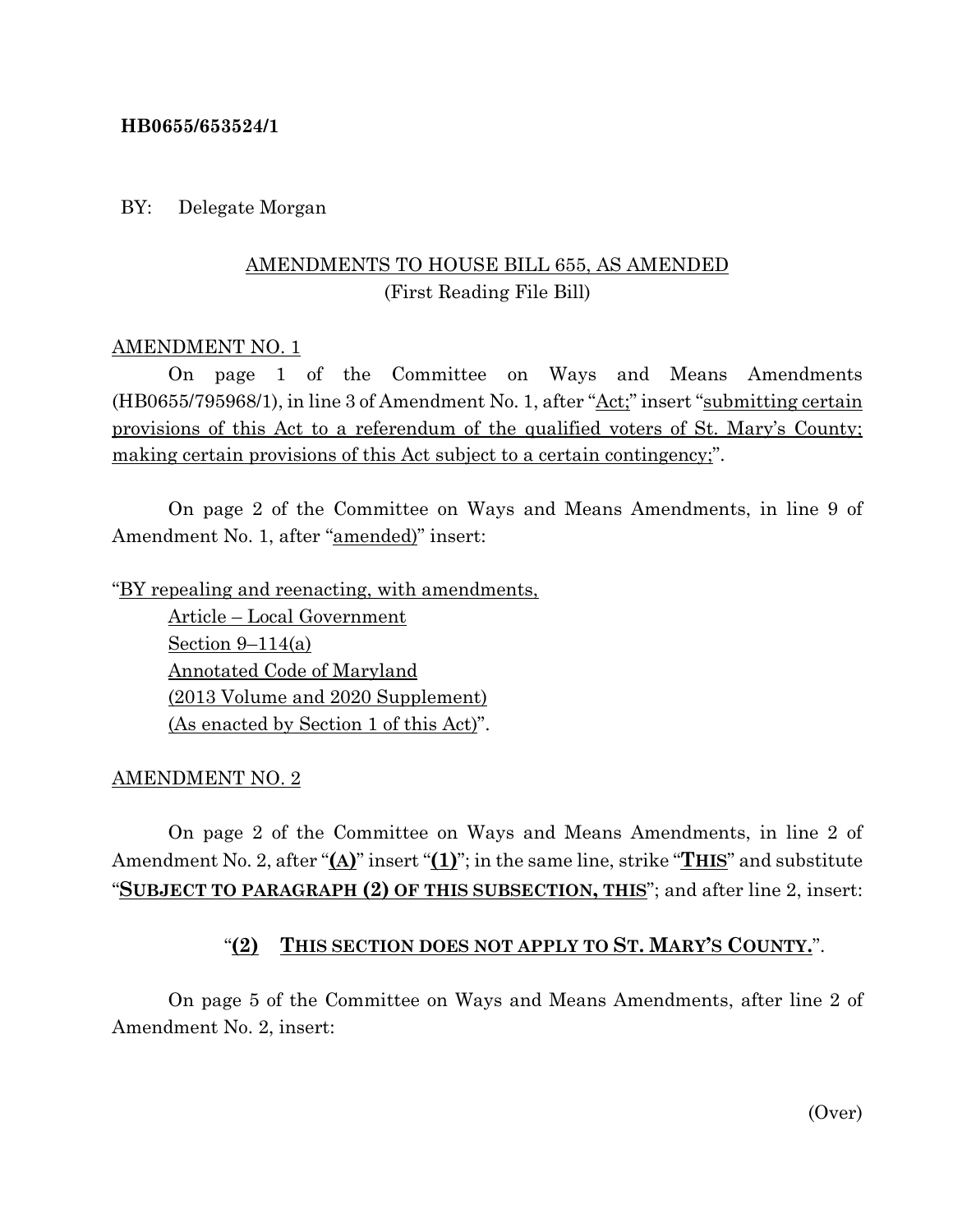#### **HB0655/653524/1**

#### BY: Delegate Morgan

# AMENDMENTS TO HOUSE BILL 655, AS AMENDED (First Reading File Bill)

#### AMENDMENT NO. 1

On page 1 of the Committee on Ways and Means Amendments (HB0655/795968/1), in line 3 of Amendment No. 1, after "Act;" insert "submitting certain provisions of this Act to a referendum of the qualified voters of St. Mary's County; making certain provisions of this Act subject to a certain contingency;".

On page 2 of the Committee on Ways and Means Amendments, in line 9 of Amendment No. 1, after "amended)" insert:

"BY repealing and reenacting, with amendments,

Article – Local Government Section  $9-114(a)$ Annotated Code of Maryland (2013 Volume and 2020 Supplement) (As enacted by Section 1 of this Act)".

#### AMENDMENT NO. 2

On page 2 of the Committee on Ways and Means Amendments, in line 2 of Amendment No. 2, after "**(A)**" insert "**(1)**"; in the same line, strike "**THIS**" and substitute "**SUBJECT TO PARAGRAPH (2) OF THIS SUBSECTION, THIS**"; and after line 2, insert:

# "**(2) THIS SECTION DOES NOT APPLY TO ST. MARY'S COUNTY.**".

On page 5 of the Committee on Ways and Means Amendments, after line 2 of Amendment No. 2, insert: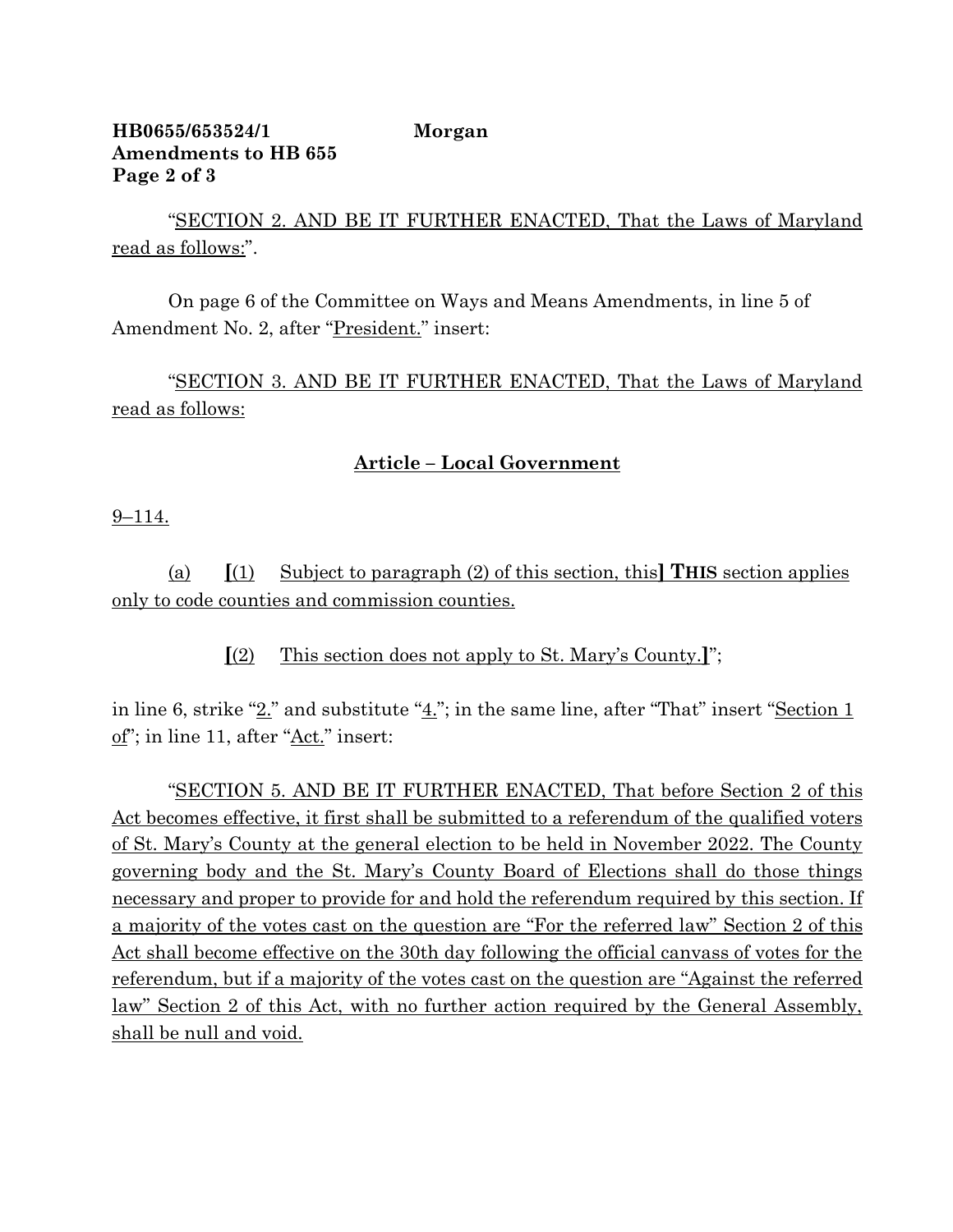## **HB0655/653524/1 Morgan Amendments to HB 655 Page 2 of 3**

"SECTION 2. AND BE IT FURTHER ENACTED, That the Laws of Maryland read as follows:".

On page 6 of the Committee on Ways and Means Amendments, in line 5 of Amendment No. 2, after "President." insert:

"SECTION 3. AND BE IT FURTHER ENACTED, That the Laws of Maryland read as follows:

## **Article – Local Government**

9–114.

(a) **[**(1) Subject to paragraph (2) of this section, this**] THIS** section applies only to code counties and commission counties.

**[**(2) This section does not apply to St. Mary's County.**]**";

in line 6, strike " $2$ ." and substitute " $4$ ."; in the same line, after "That" insert "Section 1 of"; in line 11, after "Act." insert:

"SECTION 5. AND BE IT FURTHER ENACTED, That before Section 2 of this Act becomes effective, it first shall be submitted to a referendum of the qualified voters of St. Mary's County at the general election to be held in November 2022. The County governing body and the St. Mary's County Board of Elections shall do those things necessary and proper to provide for and hold the referendum required by this section. If a majority of the votes cast on the question are "For the referred law" Section 2 of this Act shall become effective on the 30th day following the official canvass of votes for the referendum, but if a majority of the votes cast on the question are "Against the referred law" Section 2 of this Act, with no further action required by the General Assembly, shall be null and void.